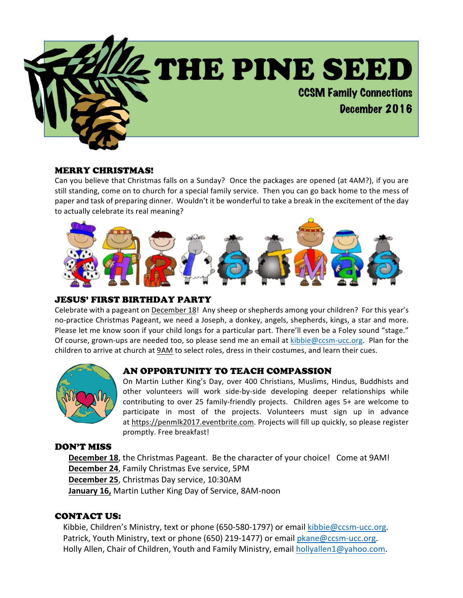

#### MERRY CHRISTMAS!

Can you believe that Christmas falls on a Sunday? Once the packages are opened (at 4AM?), if you are still standing, come on to church for a special family service. Then you can go back home to the mess of paper and task of preparing dinner. Wouldn't it be wonderful to take a break in the excitement of the day to actually celebrate its real meaning?



### JESUS' FIRST BIRTHDAY PARTY

Celebrate with a pageant on December 18! Any sheep or shepherds among your children? For this year's no-practice Christmas Pageant, we need a Joseph, a donkey, angels, shepherds, kings, a star and more. Please let me know soon if your child longs for a particular part. There'll even be a Foley sound "stage." Of course, grown-ups are needed too, so please send me an email at  $kibbie@ccsm-ucc.org$ . Plan for the children to arrive at church at 9AM to select roles, dress in their costumes, and learn their cues.



#### AN OPPORTUNITY TO TEACH COMPASSION

On Martin Luther King's Day, over 400 Christians, Muslims, Hindus, Buddhists and other volunteers will work side-by-side developing deeper relationships while contributing to over 25 family-friendly projects. Children ages 5+ are welcome to participate in most of the projects. Volunteers must sign up in advance at https://penmlk2017.eventbrite.com. Projects will fill up quickly, so please register promptly. Free breakfast!

#### DON'T MISS

**December 18**, the Christmas Pageant. Be the character of your choice! Come at 9AM! **December 24**, Family Christmas Eve service, 5PM **December 25**, Christmas Day service, 10:30AM **January 16, Martin Luther King Day of Service, 8AM-noon** 

#### CONTACT US:

Kibbie, Children's Ministry, text or phone (650-580-1797) or email kibbie@ccsm-ucc.org. Patrick, Youth Ministry, text or phone  $(650)$  219-1477) or email pkane@ccsm-ucc.org. Holly Allen, Chair of Children, Youth and Family Ministry, email hollyallen1@yahoo.com.